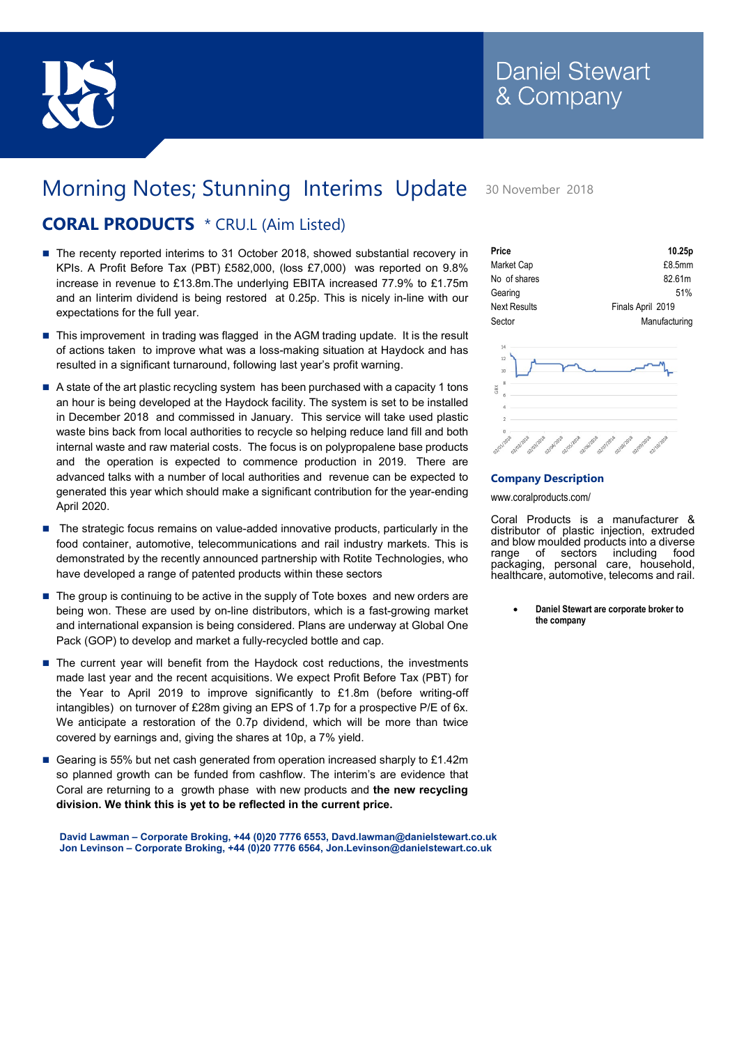

## Morning Notes; Stunning Interims Update 30 November 2018

## CORAL PRODUCTS \* CRU.L (Aim Listed)

- The recenty reported interims to 31 October 2018, showed substantial recovery in KPIs. A Profit Before Tax (PBT) £582,000, (loss £7,000) was reported on 9.8% increase in revenue to £13.8m.The underlying EBITA increased 77.9% to £1.75m and an Iinterim dividend is being restored at 0.25p. This is nicely in-line with our expectations for the full year.
- This improvement in trading was flagged in the AGM trading update. It is the result of actions taken to improve what was a loss-making situation at Haydock and has resulted in a significant turnaround, following last year's profit warning.
- A state of the art plastic recycling system has been purchased with a capacity 1 tons an hour is being developed at the Haydock facility. The system is set to be installed in December 2018 and commissed in January. This service will take used plastic waste bins back from local authorities to recycle so helping reduce land fill and both internal waste and raw material costs. The focus is on polypropalene base products and the operation is expected to commence production in 2019. There are advanced talks with a number of local authorities and revenue can be expected to generated this year which should make a significant contribution for the year-ending April 2020.
- The strategic focus remains on value-added innovative products, particularly in the food container, automotive, telecommunications and rail industry markets. This is demonstrated by the recently announced partnership with Rotite Technologies, who have developed a range of patented products within these sectors
- The group is continuing to be active in the supply of Tote boxes and new orders are being won. These are used by on-line distributors, which is a fast-growing market and international expansion is being considered. Plans are underway at Global One Pack (GOP) to develop and market a fully-recycled bottle and cap.
- The current year will benefit from the Haydock cost reductions, the investments made last year and the recent acquisitions. We expect Profit Before Tax (PBT) for the Year to April 2019 to improve significantly to £1.8m (before writing-off intangibles) on turnover of £28m giving an EPS of 1.7p for a prospective P/E of 6x. We anticipate a restoration of the 0.7p dividend, which will be more than twice covered by earnings and, giving the shares at 10p, a 7% yield.
- Gearing is 55% but net cash generated from operation increased sharply to £1.42m so planned growth can be funded from cashflow. The interim's are evidence that Coral are returning to a growth phase with new products and the new recycling division. We think this is yet to be reflected in the current price.

David Lawman – Corporate Broking, +44 (0)20 7776 6553, Davd.lawman@danielstewart.co.uk Jon Levinson – Corporate Broking, +44 (0)20 7776 6564, Jon.Levinson@danielstewart.co.uk

| Price               | 10.25p            |  |
|---------------------|-------------------|--|
| Market Cap          | £8.5mm            |  |
| No of shares        | 82.61m            |  |
| Gearing             | 51%               |  |
| <b>Next Results</b> | Finals April 2019 |  |
| Sector              | Manufacturing     |  |



## Company Description

www.coralproducts.com/

Coral Products is a manufacturer & distributor of plastic injection, extruded and blow moulded products into a diverse range of sectors including food packaging, personal care, household, healthcare, automotive, telecoms and rail.

> Daniel Stewart are corporate broker to the company